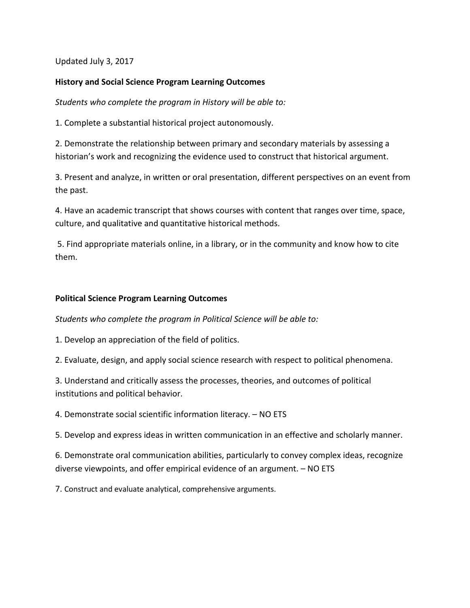Updated July 3, 2017

# **History and Social Science Program Learning Outcomes**

*Students who complete the program in History will be able to:*

1. Complete a substantial historical project autonomously.

2. Demonstrate the relationship between primary and secondary materials by assessing a historian's work and recognizing the evidence used to construct that historical argument.

3. Present and analyze, in written or oral presentation, different perspectives on an event from the past.

4. Have an academic transcript that shows courses with content that ranges over time, space, culture, and qualitative and quantitative historical methods.

5. Find appropriate materials online, in a library, or in the community and know how to cite them.

# **Political Science Program Learning Outcomes**

*Students who complete the program in Political Science will be able to:*

1. Develop an appreciation of the field of politics.

2. Evaluate, design, and apply social science research with respect to political phenomena.

3. Understand and critically assess the processes, theories, and outcomes of political institutions and political behavior.

4. Demonstrate social scientific information literacy. – NO ETS

5. Develop and express ideas in written communication in an effective and scholarly manner.

6. Demonstrate oral communication abilities, particularly to convey complex ideas, recognize diverse viewpoints, and offer empirical evidence of an argument. – NO ETS

7. Construct and evaluate analytical, comprehensive arguments.